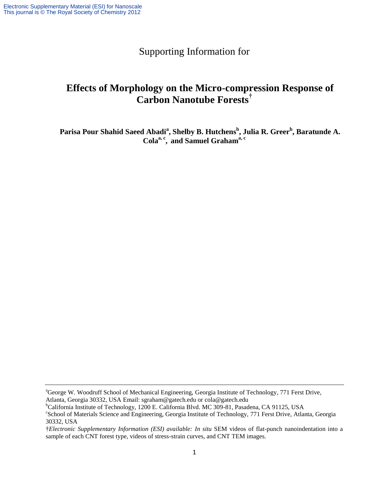## Supporting Information for

## **Effects of Morphology on the Micro-compression Response of Carbon Nanotube Forests†**

**Parisa Pour Shahid Saeed Abadi<sup>a</sup> , Shelby B. Hutchens<sup>b</sup> , Julia R. Greer<sup>b</sup> , Baratunde A. Colaa, c , and Samuel Grahama, c**

<sup>&</sup>lt;sup>a</sup>George W. Woodruff School of Mechanical Engineering, Georgia Institute of Technology, 771 Ferst Drive, Atlanta, Georgia 30332, USA Email: sgraham@gatech.edu or cola@gatech.edu

<sup>&</sup>lt;sup>b</sup>California Institute of Technology, 1200 E. California Blvd. MC 309-81, Pasadena, CA 91125, USA

c School of Materials Science and Engineering, Georgia Institute of Technology, 771 Ferst Drive, Atlanta, Georgia 30332, USA

<sup>†</sup>*Electronic Supplementary Information (ESI) available: In situ* SEM videos of flat-punch nanoindentation into a sample of each CNT forest type, videos of stress-strain curves, and CNT TEM images.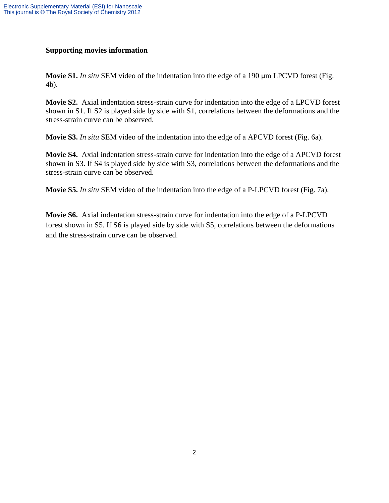## **Supporting movies information**

**Movie S1.** *In situ* SEM video of the indentation into the edge of a 190 µm LPCVD forest (Fig. 4b).

**Movie S2.** Axial indentation stress-strain curve for indentation into the edge of a LPCVD forest shown in S1. If S2 is played side by side with S1, correlations between the deformations and the stress-strain curve can be observed.

**Movie S3.** *In situ* SEM video of the indentation into the edge of a APCVD forest (Fig. 6a).

**Movie S4.** Axial indentation stress-strain curve for indentation into the edge of a APCVD forest shown in S3. If S4 is played side by side with S3, correlations between the deformations and the stress-strain curve can be observed.

**Movie S5.** *In situ* SEM video of the indentation into the edge of a P-LPCVD forest (Fig. 7a).

**Movie S6.** Axial indentation stress-strain curve for indentation into the edge of a P-LPCVD forest shown in S5. If S6 is played side by side with S5, correlations between the deformations and the stress-strain curve can be observed.